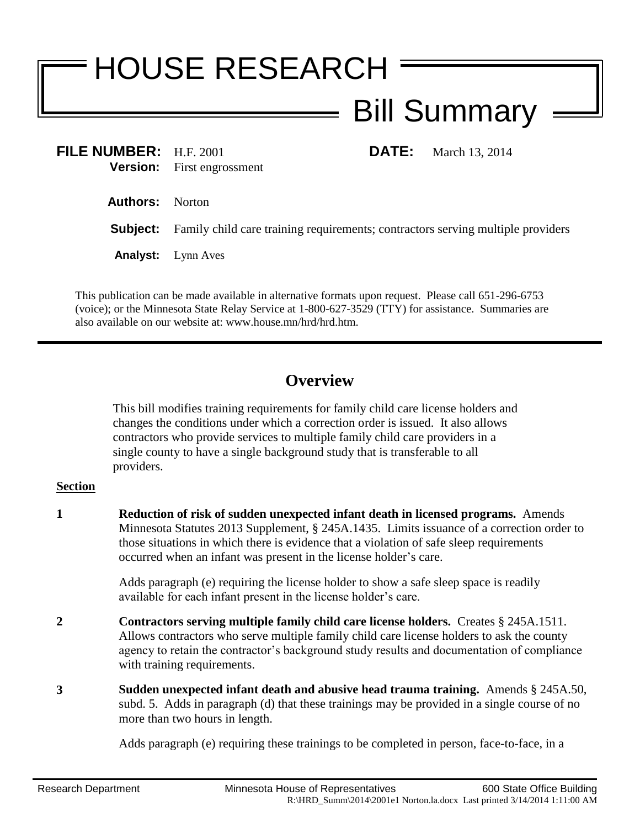## HOUSE RESEARCH Bill Summary

**FILE NUMBER:** H.F. 2001 **DATE:** March 13, 2014 **Version:** First engrossment

**Authors:** Norton

**Subject:** Family child care training requirements; contractors serving multiple providers

**Analyst:** Lynn Aves

This publication can be made available in alternative formats upon request. Please call 651-296-6753 (voice); or the Minnesota State Relay Service at 1-800-627-3529 (TTY) for assistance. Summaries are also available on our website at: www.house.mn/hrd/hrd.htm.

## **Overview**

This bill modifies training requirements for family child care license holders and changes the conditions under which a correction order is issued. It also allows contractors who provide services to multiple family child care providers in a single county to have a single background study that is transferable to all providers.

## **Section**

**1 Reduction of risk of sudden unexpected infant death in licensed programs.** Amends Minnesota Statutes 2013 Supplement, § 245A.1435. Limits issuance of a correction order to those situations in which there is evidence that a violation of safe sleep requirements occurred when an infant was present in the license holder's care.

> Adds paragraph (e) requiring the license holder to show a safe sleep space is readily available for each infant present in the license holder's care.

- **2 Contractors serving multiple family child care license holders.** Creates § 245A.1511. Allows contractors who serve multiple family child care license holders to ask the county agency to retain the contractor's background study results and documentation of compliance with training requirements.
- **3 Sudden unexpected infant death and abusive head trauma training.** Amends § 245A.50, subd. 5. Adds in paragraph (d) that these trainings may be provided in a single course of no more than two hours in length.

Adds paragraph (e) requiring these trainings to be completed in person, face-to-face, in a